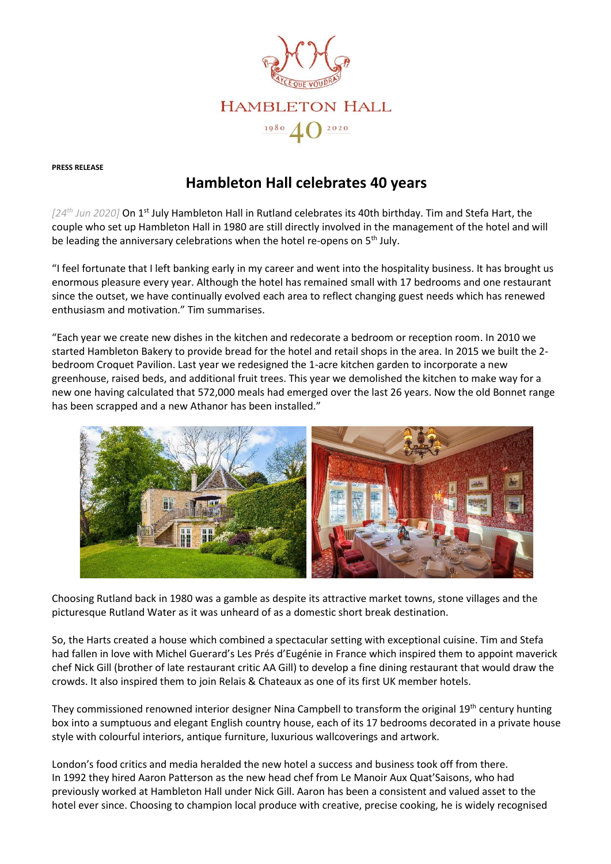

**PRESS RELEASE**

# **Hambleton Hall celebrates 40 years**

*[24th Jun 2020]* On 1st July Hambleton Hall in Rutland celebrates its 40th birthday. Tim and Stefa Hart, the couple who set up Hambleton Hall in 1980 are still directly involved in the management of the hotel and will be leading the anniversary celebrations when the hotel re-opens on 5<sup>th</sup> July.

"I feel fortunate that I left banking early in my career and went into the hospitality business. It has brought us enormous pleasure every year. Although the hotel has remained small with 17 bedrooms and one restaurant since the outset, we have continually evolved each area to reflect changing guest needs which has renewed enthusiasm and motivation." Tim summarises.

"Each year we create new dishes in the kitchen and redecorate a bedroom or reception room. In 2010 we started Hambleton Bakery to provide bread for the hotel and retail shops in the area. In 2015 we built the 2 bedroom Croquet Pavilion. Last year we redesigned the 1-acre kitchen garden to incorporate a new greenhouse, raised beds, and additional fruit trees. This year we demolished the kitchen to make way for a new one having calculated that 572,000 meals had emerged over the last 26 years. Now the old Bonnet range has been scrapped and a new Athanor has been installed."



Choosing Rutland back in 1980 was a gamble as despite its attractive market towns, stone villages and the picturesque Rutland Water as it was unheard of as a domestic short break destination.

So, the Harts created a house which combined a spectacular setting with exceptional cuisine. Tim and Stefa had fallen in love with Michel Guerard's Les Prés d'Eugénie in France which inspired them to appoint maverick chef Nick Gill (brother of late restaurant critic AA Gill) to develop a fine dining restaurant that would draw the crowds. It also inspired them to join Relais & Chateaux as one of its first UK member hotels.

They commissioned renowned interior designer Nina Campbell to transform the original 19<sup>th</sup> century hunting box into a sumptuous and elegant English country house, each of its 17 bedrooms decorated in a private house style with colourful interiors, antique furniture, luxurious wallcoverings and artwork.

London's food critics and media heralded the new hotel a success and business took off from there. In 1992 they hired Aaron Patterson as the new head chef from Le Manoir Aux Quat'Saisons, who had previously worked at Hambleton Hall under Nick Gill. Aaron has been a consistent and valued asset to the hotel ever since. Choosing to champion local produce with creative, precise cooking, he is widely recognised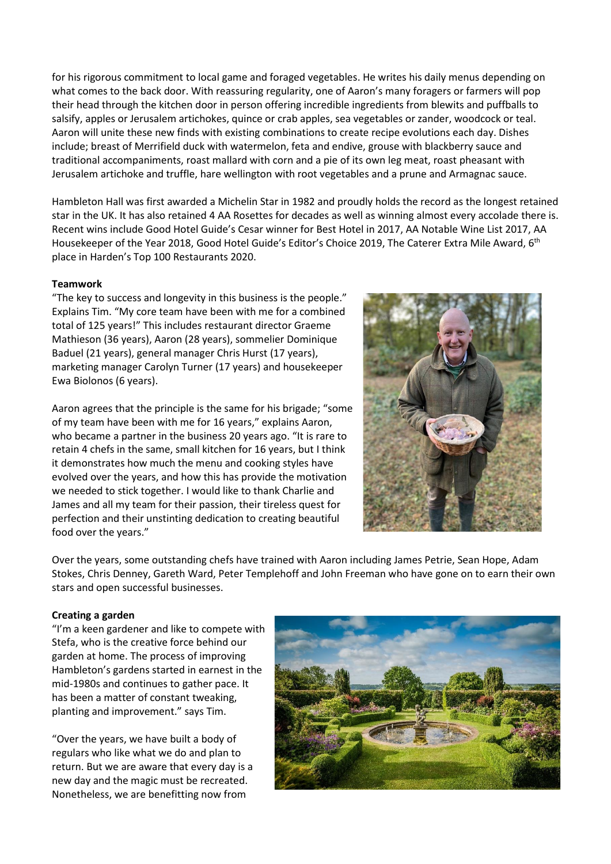for his rigorous commitment to local game and foraged vegetables. He writes his daily menus depending on what comes to the back door. With reassuring regularity, one of Aaron's many foragers or farmers will pop their head through the kitchen door in person offering incredible ingredients from blewits and puffballs to salsify, apples or Jerusalem artichokes, quince or crab apples, sea vegetables or zander, woodcock or teal. Aaron will unite these new finds with existing combinations to create recipe evolutions each day. Dishes include; breast of Merrifield duck with watermelon, feta and endive, grouse with blackberry sauce and traditional accompaniments, roast mallard with corn and a pie of its own leg meat, roast pheasant with Jerusalem artichoke and truffle, hare wellington with root vegetables and a prune and Armagnac sauce.

Hambleton Hall was first awarded a Michelin Star in 1982 and proudly holds the record as the longest retained star in the UK. It has also retained 4 AA Rosettes for decades as well as winning almost every accolade there is. Recent wins include Good Hotel Guide's Cesar winner for Best Hotel in 2017, AA Notable Wine List 2017, AA Housekeeper of the Year 2018, Good Hotel Guide's Editor's Choice 2019, The Caterer Extra Mile Award, 6th place in Harden's Top 100 Restaurants 2020.

## **Teamwork**

"The key to success and longevity in this business is the people." Explains Tim. "My core team have been with me for a combined total of 125 years!" This includes restaurant director Graeme Mathieson (36 years), Aaron (28 years), sommelier Dominique Baduel (21 years), general manager Chris Hurst (17 years), marketing manager Carolyn Turner (17 years) and housekeeper Ewa Biolonos (6 years).

Aaron agrees that the principle is the same for his brigade; "some of my team have been with me for 16 years," explains Aaron, who became a partner in the business 20 years ago. "It is rare to retain 4 chefs in the same, small kitchen for 16 years, but I think it demonstrates how much the menu and cooking styles have evolved over the years, and how this has provide the motivation we needed to stick together. I would like to thank Charlie and James and all my team for their passion, their tireless quest for perfection and their unstinting dedication to creating beautiful food over the years."



Over the years, some outstanding chefs have trained with Aaron including James Petrie, Sean Hope, Adam Stokes, Chris Denney, Gareth Ward, Peter Templehoff and John Freeman who have gone on to earn their own stars and open successful businesses.

#### **Creating a garden**

"I'm a keen gardener and like to compete with Stefa, who is the creative force behind our garden at home. The process of improving Hambleton's gardens started in earnest in the mid-1980s and continues to gather pace. It has been a matter of constant tweaking, planting and improvement." says Tim.

"Over the years, we have built a body of regulars who like what we do and plan to return. But we are aware that every day is a new day and the magic must be recreated. Nonetheless, we are benefitting now from